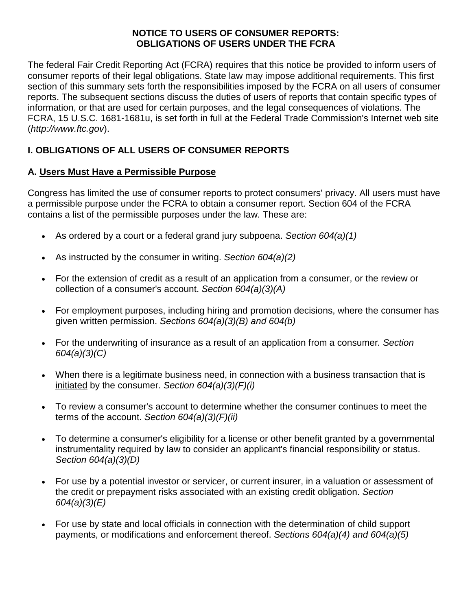#### **NOTICE TO USERS OF CONSUMER REPORTS: OBLIGATIONS OF USERS UNDER THE FCRA**

The federal Fair Credit Reporting Act (FCRA) requires that this notice be provided to inform users of consumer reports of their legal obligations. State law may impose additional requirements. This first section of this summary sets forth the responsibilities imposed by the FCRA on all users of consumer reports. The subsequent sections discuss the duties of users of reports that contain specific types of information, or that are used for certain purposes, and the legal consequences of violations. The FCRA, 15 U.S.C. 1681-1681u, is set forth in full at the Federal Trade Commission's Internet web site (*http://www.ftc.gov*).

## **I. OBLIGATIONS OF ALL USERS OF CONSUMER REPORTS**

#### **A. Users Must Have a Permissible Purpose**

Congress has limited the use of consumer reports to protect consumers' privacy. All users must have a permissible purpose under the FCRA to obtain a consumer report. Section 604 of the FCRA contains a list of the permissible purposes under the law. These are:

- As ordered by a court or a federal grand jury subpoena. *Section 604(a)(1)*
- As instructed by the consumer in writing. *Section 604(a)(2)*
- For the extension of credit as a result of an application from a consumer, or the review or collection of a consumer's account. *Section 604(a)(3)(A)*
- For employment purposes, including hiring and promotion decisions, where the consumer has given written permission. *Sections 604(a)(3)(B) and 604(b)*
- For the underwriting of insurance as a result of an application from a consumer*. Section 604(a)(3)(C)*
- When there is a legitimate business need, in connection with a business transaction that is initiated by the consumer. *Section 604(a)(3)(F)(i)*
- To review a consumer's account to determine whether the consumer continues to meet the terms of the account. *Section 604(a)(3)(F)(ii)*
- To determine a consumer's eligibility for a license or other benefit granted by a governmental instrumentality required by law to consider an applicant's financial responsibility or status. *Section 604(a)(3)(D)*
- For use by a potential investor or servicer, or current insurer, in a valuation or assessment of the credit or prepayment risks associated with an existing credit obligation. *Section 604(a)(3)(E)*
- For use by state and local officials in connection with the determination of child support payments, or modifications and enforcement thereof. *Sections 604(a)(4) and 604(a)(5)*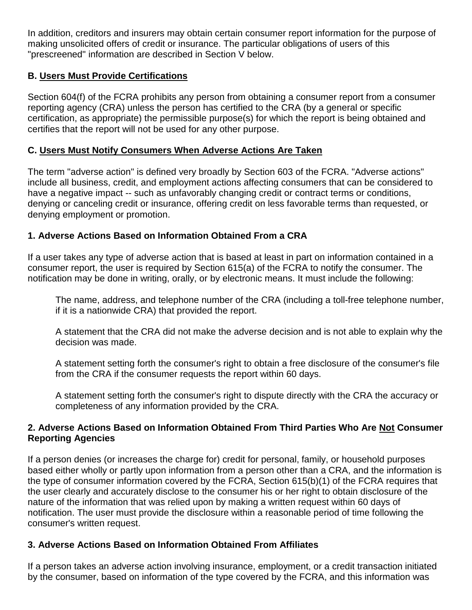In addition, creditors and insurers may obtain certain consumer report information for the purpose of making unsolicited offers of credit or insurance. The particular obligations of users of this "prescreened" information are described in Section V below.

## **B. Users Must Provide Certifications**

Section 604(f) of the FCRA prohibits any person from obtaining a consumer report from a consumer reporting agency (CRA) unless the person has certified to the CRA (by a general or specific certification, as appropriate) the permissible purpose(s) for which the report is being obtained and certifies that the report will not be used for any other purpose.

## **C. Users Must Notify Consumers When Adverse Actions Are Taken**

The term "adverse action" is defined very broadly by Section 603 of the FCRA. "Adverse actions" include all business, credit, and employment actions affecting consumers that can be considered to have a negative impact -- such as unfavorably changing credit or contract terms or conditions, denying or canceling credit or insurance, offering credit on less favorable terms than requested, or denying employment or promotion.

## **1. Adverse Actions Based on Information Obtained From a CRA**

If a user takes any type of adverse action that is based at least in part on information contained in a consumer report, the user is required by Section 615(a) of the FCRA to notify the consumer. The notification may be done in writing, orally, or by electronic means. It must include the following:

The name, address, and telephone number of the CRA (including a toll-free telephone number, if it is a nationwide CRA) that provided the report.

A statement that the CRA did not make the adverse decision and is not able to explain why the decision was made.

A statement setting forth the consumer's right to obtain a free disclosure of the consumer's file from the CRA if the consumer requests the report within 60 days.

A statement setting forth the consumer's right to dispute directly with the CRA the accuracy or completeness of any information provided by the CRA.

## **2. Adverse Actions Based on Information Obtained From Third Parties Who Are Not Consumer Reporting Agencies**

If a person denies (or increases the charge for) credit for personal, family, or household purposes based either wholly or partly upon information from a person other than a CRA, and the information is the type of consumer information covered by the FCRA, Section 615(b)(1) of the FCRA requires that the user clearly and accurately disclose to the consumer his or her right to obtain disclosure of the nature of the information that was relied upon by making a written request within 60 days of notification. The user must provide the disclosure within a reasonable period of time following the consumer's written request.

## **3. Adverse Actions Based on Information Obtained From Affiliates**

If a person takes an adverse action involving insurance, employment, or a credit transaction initiated by the consumer, based on information of the type covered by the FCRA, and this information was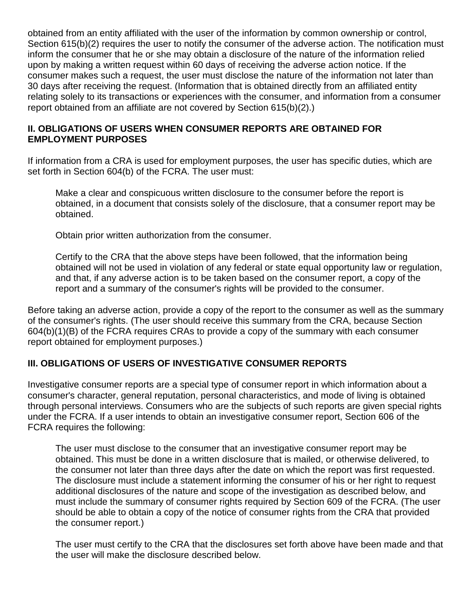obtained from an entity affiliated with the user of the information by common ownership or control, Section 615(b)(2) requires the user to notify the consumer of the adverse action. The notification must inform the consumer that he or she may obtain a disclosure of the nature of the information relied upon by making a written request within 60 days of receiving the adverse action notice. If the consumer makes such a request, the user must disclose the nature of the information not later than 30 days after receiving the request. (Information that is obtained directly from an affiliated entity relating solely to its transactions or experiences with the consumer, and information from a consumer report obtained from an affiliate are not covered by Section 615(b)(2).)

#### **II. OBLIGATIONS OF USERS WHEN CONSUMER REPORTS ARE OBTAINED FOR EMPLOYMENT PURPOSES**

If information from a CRA is used for employment purposes, the user has specific duties, which are set forth in Section 604(b) of the FCRA. The user must:

Make a clear and conspicuous written disclosure to the consumer before the report is obtained, in a document that consists solely of the disclosure, that a consumer report may be obtained.

Obtain prior written authorization from the consumer.

Certify to the CRA that the above steps have been followed, that the information being obtained will not be used in violation of any federal or state equal opportunity law or regulation, and that, if any adverse action is to be taken based on the consumer report, a copy of the report and a summary of the consumer's rights will be provided to the consumer.

Before taking an adverse action, provide a copy of the report to the consumer as well as the summary of the consumer's rights. (The user should receive this summary from the CRA, because Section 604(b)(1)(B) of the FCRA requires CRAs to provide a copy of the summary with each consumer report obtained for employment purposes.)

## **III. OBLIGATIONS OF USERS OF INVESTIGATIVE CONSUMER REPORTS**

Investigative consumer reports are a special type of consumer report in which information about a consumer's character, general reputation, personal characteristics, and mode of living is obtained through personal interviews. Consumers who are the subjects of such reports are given special rights under the FCRA. If a user intends to obtain an investigative consumer report, Section 606 of the FCRA requires the following:

The user must disclose to the consumer that an investigative consumer report may be obtained. This must be done in a written disclosure that is mailed, or otherwise delivered, to the consumer not later than three days after the date on which the report was first requested. The disclosure must include a statement informing the consumer of his or her right to request additional disclosures of the nature and scope of the investigation as described below, and must include the summary of consumer rights required by Section 609 of the FCRA. (The user should be able to obtain a copy of the notice of consumer rights from the CRA that provided the consumer report.)

The user must certify to the CRA that the disclosures set forth above have been made and that the user will make the disclosure described below.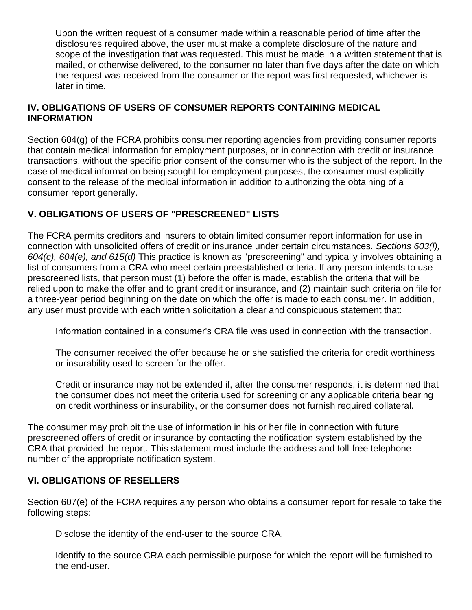Upon the written request of a consumer made within a reasonable period of time after the disclosures required above, the user must make a complete disclosure of the nature and scope of the investigation that was requested. This must be made in a written statement that is mailed, or otherwise delivered, to the consumer no later than five days after the date on which the request was received from the consumer or the report was first requested, whichever is later in time.

## **IV. OBLIGATIONS OF USERS OF CONSUMER REPORTS CONTAINING MEDICAL INFORMATION**

Section 604(g) of the FCRA prohibits consumer reporting agencies from providing consumer reports that contain medical information for employment purposes, or in connection with credit or insurance transactions, without the specific prior consent of the consumer who is the subject of the report. In the case of medical information being sought for employment purposes, the consumer must explicitly consent to the release of the medical information in addition to authorizing the obtaining of a consumer report generally.

# **V. OBLIGATIONS OF USERS OF "PRESCREENED" LISTS**

The FCRA permits creditors and insurers to obtain limited consumer report information for use in connection with unsolicited offers of credit or insurance under certain circumstances. *Sections 603(l), 604(c), 604(e), and 615(d)* This practice is known as "prescreening" and typically involves obtaining a list of consumers from a CRA who meet certain preestablished criteria. If any person intends to use prescreened lists, that person must (1) before the offer is made, establish the criteria that will be relied upon to make the offer and to grant credit or insurance, and (2) maintain such criteria on file for a three-year period beginning on the date on which the offer is made to each consumer. In addition, any user must provide with each written solicitation a clear and conspicuous statement that:

Information contained in a consumer's CRA file was used in connection with the transaction.

The consumer received the offer because he or she satisfied the criteria for credit worthiness or insurability used to screen for the offer.

Credit or insurance may not be extended if, after the consumer responds, it is determined that the consumer does not meet the criteria used for screening or any applicable criteria bearing on credit worthiness or insurability, or the consumer does not furnish required collateral.

The consumer may prohibit the use of information in his or her file in connection with future prescreened offers of credit or insurance by contacting the notification system established by the CRA that provided the report. This statement must include the address and toll-free telephone number of the appropriate notification system.

## **VI. OBLIGATIONS OF RESELLERS**

Section 607(e) of the FCRA requires any person who obtains a consumer report for resale to take the following steps:

Disclose the identity of the end-user to the source CRA.

Identify to the source CRA each permissible purpose for which the report will be furnished to the end-user.